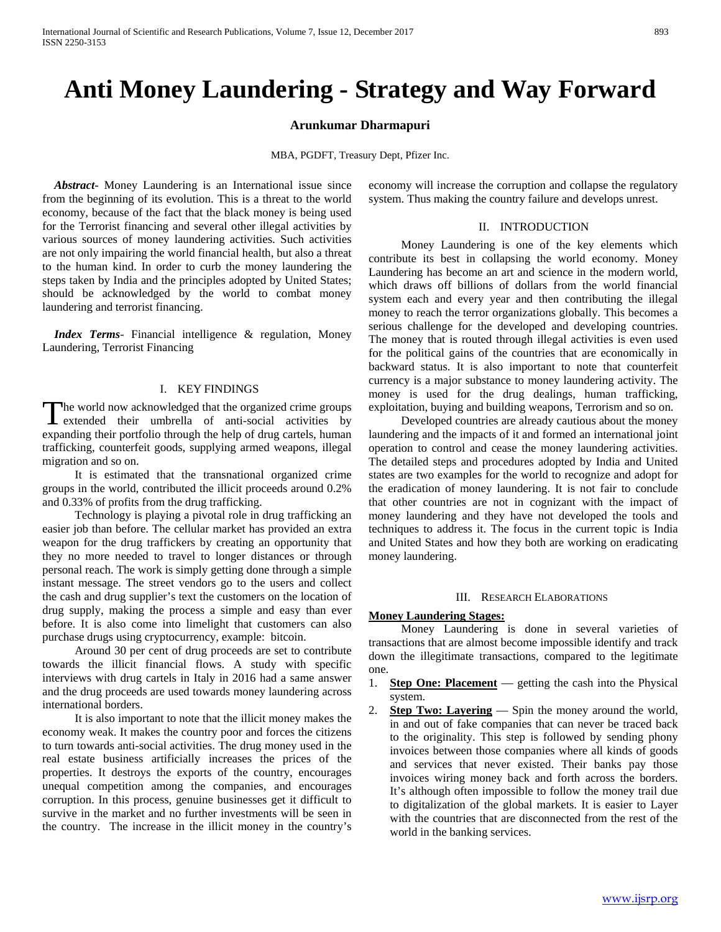# **Anti Money Laundering - Strategy and Way Forward**

#### **Arunkumar Dharmapuri**

MBA, PGDFT, Treasury Dept, Pfizer Inc.

 *Abstract***-** Money Laundering is an International issue since from the beginning of its evolution. This is a threat to the world economy, because of the fact that the black money is being used for the Terrorist financing and several other illegal activities by various sources of money laundering activities. Such activities are not only impairing the world financial health, but also a threat to the human kind. In order to curb the money laundering the steps taken by India and the principles adopted by United States; should be acknowledged by the world to combat money laundering and terrorist financing.

 *Index Terms*- Financial intelligence & regulation, Money Laundering, Terrorist Financing

# I. KEY FINDINGS

The world now acknowledged that the organized crime groups The world now acknowledged that the organized crime groups<br>extended their umbrella of anti-social activities by expanding their portfolio through the help of drug cartels, human trafficking, counterfeit goods, supplying armed weapons, illegal migration and so on.

 It is estimated that the transnational organized crime groups in the world, contributed the illicit proceeds around 0.2% and 0.33% of profits from the drug trafficking.

 Technology is playing a pivotal role in drug trafficking an easier job than before. The cellular market has provided an extra weapon for the drug traffickers by creating an opportunity that they no more needed to travel to longer distances or through personal reach. The work is simply getting done through a simple instant message. The street vendors go to the users and collect the cash and drug supplier's text the customers on the location of drug supply, making the process a simple and easy than ever before. It is also come into limelight that customers can also purchase drugs using cryptocurrency, example: bitcoin.

 Around 30 per cent of drug proceeds are set to contribute towards the illicit financial flows. A study with specific interviews with drug cartels in Italy in 2016 had a same answer and the drug proceeds are used towards money laundering across international borders.

 It is also important to note that the illicit money makes the economy weak. It makes the country poor and forces the citizens to turn towards anti-social activities. The drug money used in the real estate business artificially increases the prices of the properties. It destroys the exports of the country, encourages unequal competition among the companies, and encourages corruption. In this process, genuine businesses get it difficult to survive in the market and no further investments will be seen in the country. The increase in the illicit money in the country's economy will increase the corruption and collapse the regulatory system. Thus making the country failure and develops unrest.

#### II. INTRODUCTION

 Money Laundering is one of the key elements which contribute its best in collapsing the world economy. Money Laundering has become an art and science in the modern world, which draws off billions of dollars from the world financial system each and every year and then contributing the illegal money to reach the terror organizations globally. This becomes a serious challenge for the developed and developing countries. The money that is routed through illegal activities is even used for the political gains of the countries that are economically in backward status. It is also important to note that counterfeit currency is a major substance to money laundering activity. The money is used for the drug dealings, human trafficking, exploitation, buying and building weapons, Terrorism and so on.

 Developed countries are already cautious about the money laundering and the impacts of it and formed an international joint operation to control and cease the money laundering activities. The detailed steps and procedures adopted by India and United states are two examples for the world to recognize and adopt for the eradication of money laundering. It is not fair to conclude that other countries are not in cognizant with the impact of money laundering and they have not developed the tools and techniques to address it. The focus in the current topic is India and United States and how they both are working on eradicating money laundering.

#### III. RESEARCH ELABORATIONS

#### **Money Laundering Stages:**

 Money Laundering is done in several varieties of transactions that are almost become impossible identify and track down the illegitimate transactions, compared to the legitimate one.

- 1. **Step One: Placement** getting the cash into the Physical system.
- 2. **Step Two: Layering** Spin the money around the world, in and out of fake companies that can never be traced back to the originality. This step is followed by sending phony invoices between those companies where all kinds of goods and services that never existed. Their banks pay those invoices wiring money back and forth across the borders. It's although often impossible to follow the money trail due to digitalization of the global markets. It is easier to Layer with the countries that are disconnected from the rest of the world in the banking services.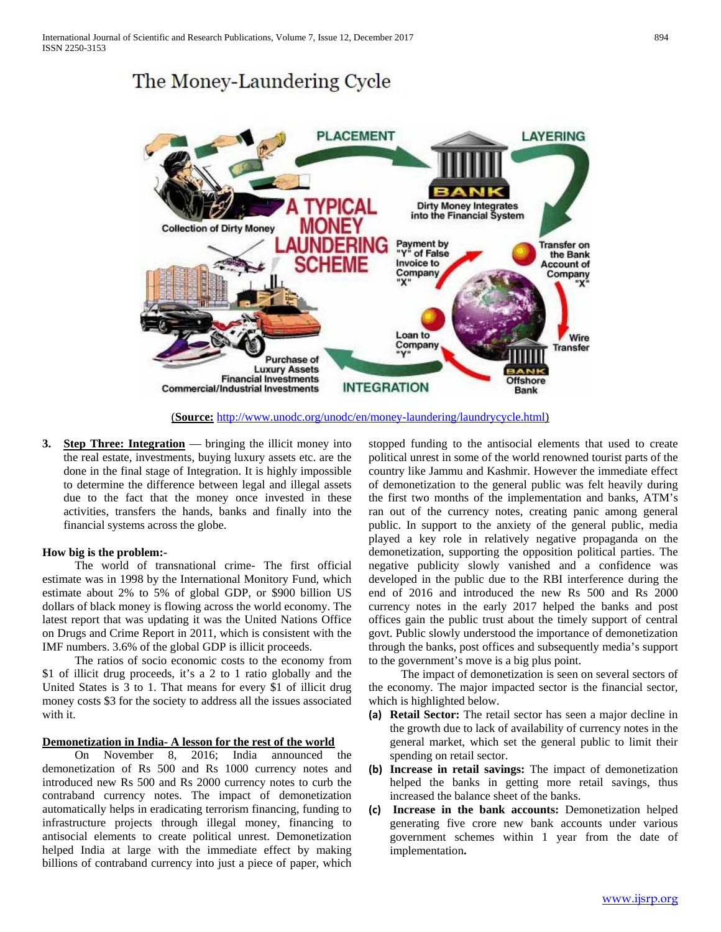# The Money-Laundering Cycle



(**Source:** [http://www.unodc.org/unodc/en/money-laundering/laundrycycle.html\)](http://www.unodc.org/unodc/en/money-laundering/laundrycycle.html)

**3. Step Three: Integration** — bringing the illicit money into the real estate, investments, buying luxury assets etc. are the done in the final stage of Integration. It is highly impossible to determine the difference between legal and illegal assets due to the fact that the money once invested in these activities, transfers the hands, banks and finally into the financial systems across the globe.

#### **How big is the problem:-**

 The world of transnational crime- The first official estimate was in 1998 by the International Monitory Fund, which estimate about 2% to 5% of global GDP, or \$900 billion US dollars of black money is flowing across the world economy. The latest report that was updating it was the United Nations Office on Drugs and Crime Report in 2011, which is consistent with the IMF numbers. 3.6% of the global GDP is illicit proceeds.

 The ratios of socio economic costs to the economy from \$1 of illicit drug proceeds, it's a 2 to 1 ratio globally and the United States is 3 to 1. That means for every \$1 of illicit drug money costs \$3 for the society to address all the issues associated with it.

#### **Demonetization in India- A lesson for the rest of the world**

 On November 8, 2016; India announced the demonetization of Rs 500 and Rs 1000 currency notes and introduced new Rs 500 and Rs 2000 currency notes to curb the contraband currency notes. The impact of demonetization automatically helps in eradicating terrorism financing, funding to infrastructure projects through illegal money, financing to antisocial elements to create political unrest. Demonetization helped India at large with the immediate effect by making billions of contraband currency into just a piece of paper, which stopped funding to the antisocial elements that used to create political unrest in some of the world renowned tourist parts of the country like Jammu and Kashmir. However the immediate effect of demonetization to the general public was felt heavily during the first two months of the implementation and banks, ATM's ran out of the currency notes, creating panic among general public. In support to the anxiety of the general public, media played a key role in relatively negative propaganda on the demonetization, supporting the opposition political parties. The negative publicity slowly vanished and a confidence was developed in the public due to the RBI interference during the end of 2016 and introduced the new Rs 500 and Rs 2000 currency notes in the early 2017 helped the banks and post offices gain the public trust about the timely support of central govt. Public slowly understood the importance of demonetization through the banks, post offices and subsequently media's support to the government's move is a big plus point.

 The impact of demonetization is seen on several sectors of the economy. The major impacted sector is the financial sector, which is highlighted below.

- **(a) Retail Sector:** The retail sector has seen a major decline in the growth due to lack of availability of currency notes in the general market, which set the general public to limit their spending on retail sector.
- **(b) Increase in retail savings:** The impact of demonetization helped the banks in getting more retail savings, thus increased the balance sheet of the banks.
- **(c) Increase in the bank accounts:** Demonetization helped generating five crore new bank accounts under various government schemes within 1 year from the date of implementation**.**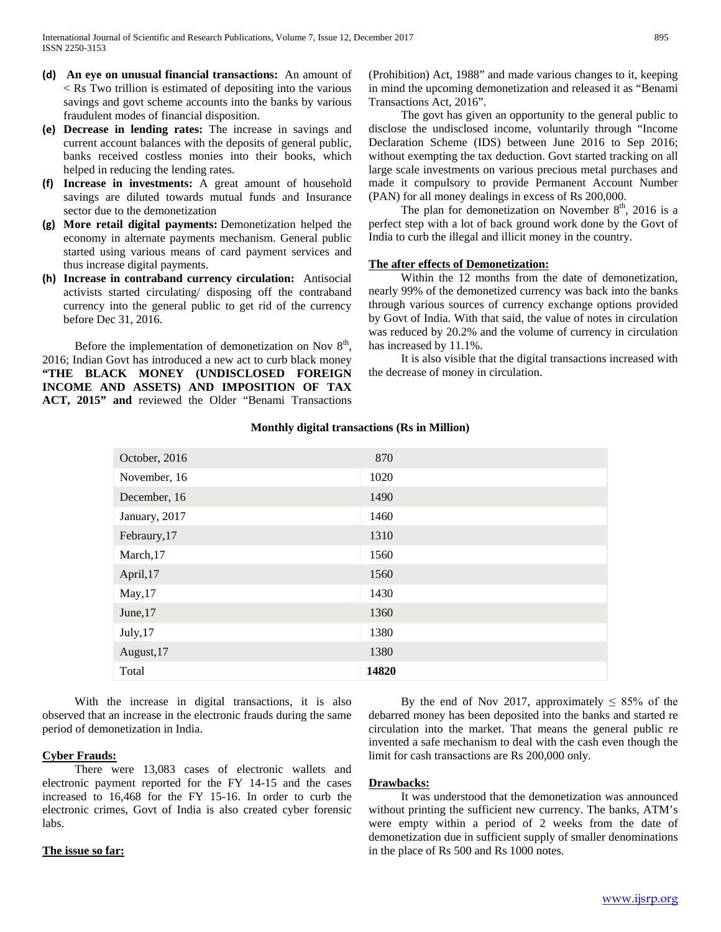- **(d) An eye on unusual financial transactions:** An amount of < Rs Two trillion is estimated of depositing into the various savings and govt scheme accounts into the banks by various fraudulent modes of financial disposition.
- **(e) Decrease in lending rates:** The increase in savings and current account balances with the deposits of general public, banks received costless monies into their books, which helped in reducing the lending rates.
- **(f) Increase in investments:** A great amount of household savings are diluted towards mutual funds and Insurance sector due to the demonetization
- **(g) More retail digital payments:** Demonetization helped the economy in alternate payments mechanism. General public started using various means of card payment services and thus increase digital payments.
- **(h) Increase in contraband currency circulation:** Antisocial activists started circulating/ disposing off the contraband currency into the general public to get rid of the currency before Dec 31, 2016.

Before the implementation of demonetization on Nov  $8<sup>th</sup>$ , 2016; Indian Govt has introduced a new act to curb black money **"THE BLACK MONEY (UNDISCLOSED FOREIGN INCOME AND ASSETS) AND IMPOSITION OF TAX ACT, 2015" and** reviewed the Older "Benami Transactions (Prohibition) Act, 1988" and made various changes to it, keeping in mind the upcoming demonetization and released it as "Benami Transactions Act, 2016".

 The govt has given an opportunity to the general public to disclose the undisclosed income, voluntarily through "Income Declaration Scheme (IDS) between June 2016 to Sep 2016; without exempting the tax deduction. Govt started tracking on all large scale investments on various precious metal purchases and made it compulsory to provide Permanent Account Number (PAN) for all money dealings in excess of Rs 200,000.

The plan for demonetization on November  $8<sup>th</sup>$ , 2016 is a perfect step with a lot of back ground work done by the Govt of India to curb the illegal and illicit money in the country.

# **The after effects of Demonetization:**

 Within the 12 months from the date of demonetization, nearly 99% of the demonetized currency was back into the banks through various sources of currency exchange options provided by Govt of India. With that said, the value of notes in circulation was reduced by 20.2% and the volume of currency in circulation has increased by 11.1%.

 It is also visible that the digital transactions increased with the decrease of money in circulation.

| October, 2016 | 870   |
|---------------|-------|
| November, 16  | 1020  |
| December, 16  | 1490  |
| January, 2017 | 1460  |
| Febraury, 17  | 1310  |
| March, 17     | 1560  |
| April, 17     | 1560  |
| May, 17       | 1430  |
| June, 17      | 1360  |
| July, 17      | 1380  |
| August, 17    | 1380  |
| Total         | 14820 |

# **Monthly digital transactions (Rs in Million)**

 With the increase in digital transactions, it is also observed that an increase in the electronic frauds during the same period of demonetization in India.

# **Cyber Frauds:**

 There were 13,083 cases of electronic wallets and electronic payment reported for the FY 14-15 and the cases increased to 16,468 for the FY 15-16. In order to curb the electronic crimes, Govt of India is also created cyber forensic labs.

## **The issue so far:**

By the end of Nov 2017, approximately  $\leq 85\%$  of the debarred money has been deposited into the banks and started re circulation into the market. That means the general public re invented a safe mechanism to deal with the cash even though the limit for cash transactions are Rs 200,000 only.

## **Drawbacks:**

 It was understood that the demonetization was announced without printing the sufficient new currency. The banks, ATM's were empty within a period of 2 weeks from the date of demonetization due in sufficient supply of smaller denominations in the place of Rs 500 and Rs 1000 notes.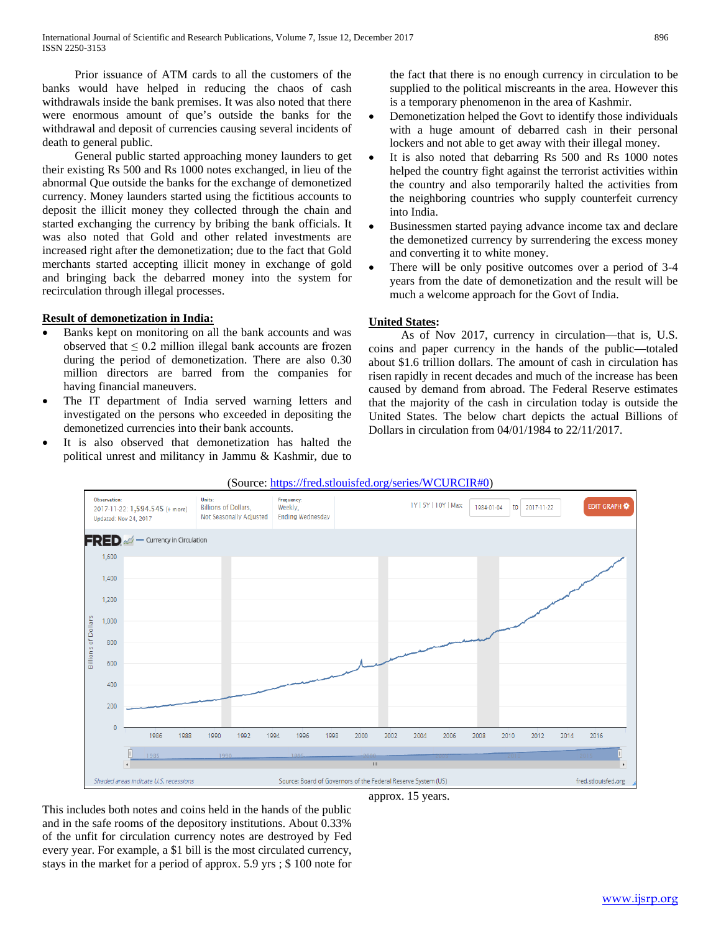Prior issuance of ATM cards to all the customers of the banks would have helped in reducing the chaos of cash withdrawals inside the bank premises. It was also noted that there were enormous amount of que's outside the banks for the withdrawal and deposit of currencies causing several incidents of death to general public.

 General public started approaching money launders to get their existing Rs 500 and Rs 1000 notes exchanged, in lieu of the abnormal Que outside the banks for the exchange of demonetized currency. Money launders started using the fictitious accounts to deposit the illicit money they collected through the chain and started exchanging the currency by bribing the bank officials. It was also noted that Gold and other related investments are increased right after the demonetization; due to the fact that Gold merchants started accepting illicit money in exchange of gold and bringing back the debarred money into the system for recirculation through illegal processes.

## **Result of demonetization in India:**

- Banks kept on monitoring on all the bank accounts and was observed that  $\leq 0.2$  million illegal bank accounts are frozen during the period of demonetization. There are also 0.30 million directors are barred from the companies for having financial maneuvers.
- The IT department of India served warning letters and investigated on the persons who exceeded in depositing the demonetized currencies into their bank accounts.
- It is also observed that demonetization has halted the political unrest and militancy in Jammu & Kashmir, due to

the fact that there is no enough currency in circulation to be supplied to the political miscreants in the area. However this is a temporary phenomenon in the area of Kashmir.

- Demonetization helped the Govt to identify those individuals with a huge amount of debarred cash in their personal lockers and not able to get away with their illegal money.
- It is also noted that debarring Rs 500 and Rs 1000 notes helped the country fight against the terrorist activities within the country and also temporarily halted the activities from the neighboring countries who supply counterfeit currency into India.
- Businessmen started paying advance income tax and declare the demonetized currency by surrendering the excess money and converting it to white money.
- There will be only positive outcomes over a period of 3-4 years from the date of demonetization and the result will be much a welcome approach for the Govt of India.

## **United States:**

 As of Nov 2017, currency in circulation—that is, U.S. coins and paper currency in the hands of the public—totaled about \$1.6 trillion dollars. The amount of cash in circulation has risen rapidly in recent decades and much of the increase has been caused by demand from abroad. The Federal Reserve estimates that the majority of the cash in circulation today is outside the United States. The below chart depicts the actual Billions of Dollars in circulation from 04/01/1984 to 22/11/2017.





This includes both notes and coins held in the hands of the public and in the safe rooms of the depository institutions. About 0.33% of the unfit for circulation currency notes are destroyed by Fed every year. For example, a \$1 bill is the most circulated currency, stays in the market for a period of approx. 5.9 yrs ; \$ 100 note for

approx. 15 years.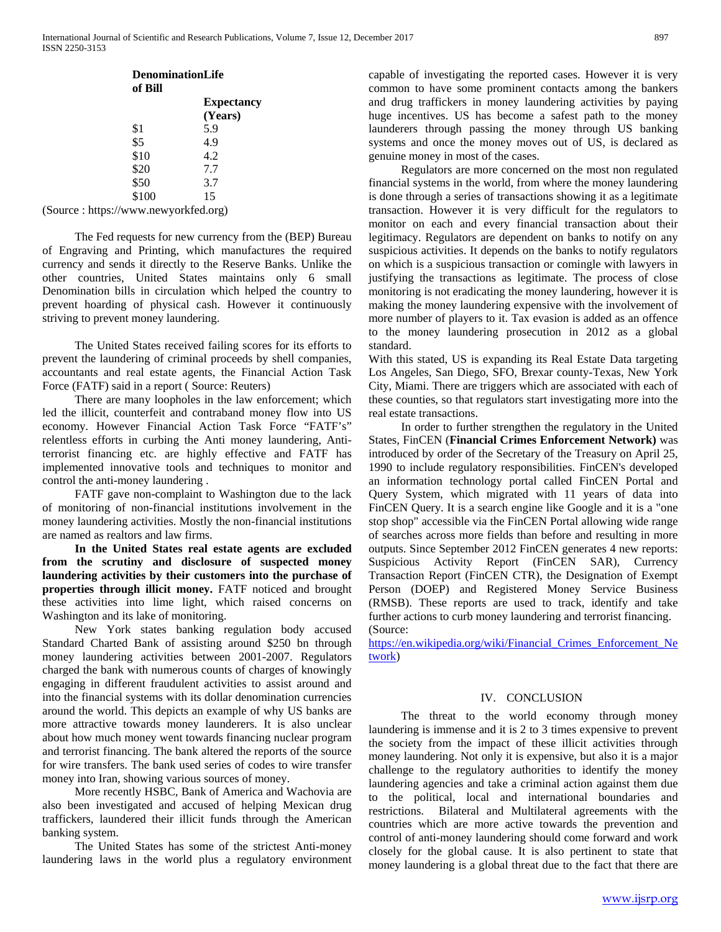| <b>DenominationLife</b><br>of Bill |  |
|------------------------------------|--|
| <b>Expectancy</b><br>(Years)       |  |
| 5.9                                |  |
| 4.9                                |  |
| 4.2                                |  |
| 7.7                                |  |
| 3.7                                |  |
| 15                                 |  |
|                                    |  |

(Source : https://www.newyorkfed.org)

 The Fed requests for new currency from the (BEP) Bureau of Engraving and Printing, which manufactures the required currency and sends it directly to the Reserve Banks. Unlike the other countries, United States maintains only 6 small Denomination bills in circulation which helped the country to prevent hoarding of physical cash. However it continuously striving to prevent money laundering.

 The United States received failing scores for its efforts to prevent the laundering of criminal proceeds by shell companies, accountants and real estate agents, the Financial Action Task Force (FATF) said in a report ( Source: Reuters)

 There are many loopholes in the law enforcement; which led the illicit, counterfeit and contraband money flow into US economy. However Financial Action Task Force "FATF's" relentless efforts in curbing the Anti money laundering, Antiterrorist financing etc. are highly effective and FATF has implemented innovative tools and techniques to monitor and control the anti-money laundering .

 FATF gave non-complaint to Washington due to the lack of monitoring of non-financial institutions involvement in the money laundering activities. Mostly the non-financial institutions are named as realtors and law firms.

 **In the United States real estate agents are excluded from the scrutiny and disclosure of suspected money laundering activities by their customers into the purchase of properties through illicit money.** FATF noticed and brought these activities into lime light, which raised concerns on Washington and its lake of monitoring.

 New York states banking regulation body accused Standard Charted Bank of assisting around \$250 bn through money laundering activities between 2001-2007. Regulators charged the bank with numerous counts of charges of knowingly engaging in different fraudulent activities to assist around and into the financial systems with its dollar denomination currencies around the world. This depicts an example of why US banks are more attractive towards money launderers. It is also unclear about how much money went towards financing nuclear program and terrorist financing. The bank altered the reports of the source for wire transfers. The bank used series of codes to wire transfer money into Iran, showing various sources of money.

 More recently HSBC, Bank of America and Wachovia are also been investigated and accused of helping Mexican drug traffickers, laundered their illicit funds through the American banking system.

 The United States has some of the strictest Anti-money laundering laws in the world plus a regulatory environment capable of investigating the reported cases. However it is very common to have some prominent contacts among the bankers and drug traffickers in money laundering activities by paying huge incentives. US has become a safest path to the money launderers through passing the money through US banking systems and once the money moves out of US, is declared as genuine money in most of the cases.

 Regulators are more concerned on the most non regulated financial systems in the world, from where the money laundering is done through a series of transactions showing it as a legitimate transaction. However it is very difficult for the regulators to monitor on each and every financial transaction about their legitimacy. Regulators are dependent on banks to notify on any suspicious activities. It depends on the banks to notify regulators on which is a suspicious transaction or comingle with lawyers in justifying the transactions as legitimate. The process of close monitoring is not eradicating the money laundering, however it is making the money laundering expensive with the involvement of more number of players to it. Tax evasion is added as an offence to the money laundering prosecution in 2012 as a global standard.

With this stated, US is expanding its Real Estate Data targeting Los Angeles, San Diego, SFO, Brexar county-Texas, New York City, Miami. There are triggers which are associated with each of these counties, so that regulators start investigating more into the real estate transactions.

 In order to further strengthen the regulatory in the United States, FinCEN (**Financial Crimes Enforcement Network)** was introduced by order of the Secretary of the Treasury on April 25, 1990 to include regulatory responsibilities. FinCEN's developed an information technology portal called FinCEN Portal and Query System, which migrated with 11 years of data into FinCEN Query. It is a search engine like Google and it is a "one stop shop" accessible via the FinCEN Portal allowing wide range of searches across more fields than before and resulting in more outputs. Since September 2012 FinCEN generates 4 new reports: Suspicious Activity Report (FinCEN SAR), Currency Transaction Report (FinCEN CTR), the Designation of Exempt Person (DOEP) and Registered Money Service Business (RMSB). These reports are used to track, identify and take further actions to curb money laundering and terrorist financing. (Source:

[https://en.wikipedia.org/wiki/Financial\\_Crimes\\_Enforcement\\_Ne](https://en.wikipedia.org/wiki/Financial_Crimes_Enforcement_Network)  $twor_k$ )

# IV. CONCLUSION

 The threat to the world economy through money laundering is immense and it is 2 to 3 times expensive to prevent the society from the impact of these illicit activities through money laundering. Not only it is expensive, but also it is a major challenge to the regulatory authorities to identify the money laundering agencies and take a criminal action against them due to the political, local and international boundaries and restrictions. Bilateral and Multilateral agreements with the countries which are more active towards the prevention and control of anti-money laundering should come forward and work closely for the global cause. It is also pertinent to state that money laundering is a global threat due to the fact that there are